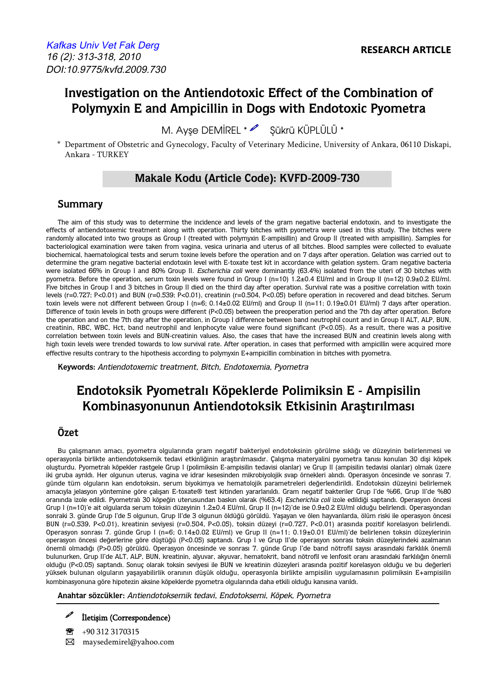# **Investigation on the Antiendotoxic Effect of the Combination of Polymyxin E and Ampicillin in Dogs with Endotoxic Pyometra**

M. Ayse DEMİREL \* 8 Sükrü KÜPLÜLÜ \*

\* Department of Obstetric and Gynecology, Faculty of Veterinary Medicine, University of Ankara, 06110 Diskapi, Ankara - TURKEY

## **Makale Kodu (Article Code): KVFD-2009-730**

#### **Summary**

The aim of this study was to determine the incidence and levels of the gram negative bacterial endotoxin, and to investigate the effects of antiendotoxemic treatment along with operation. Thirty bitches with pyometra were used in this study. The bitches were randomly allocated into two groups as Group I (treated with polymyxin E-ampisillin) and Group II (treated with ampisillin). Samples for bacteriological examination were taken from vagina, vesica urinaria and uterus of all bitches. Blood samples were collected to evaluate biochemical, haematological tests and serum toxine levels before the operation and on 7 days after operation. Gelation was carried out to determine the gram negative bacterial endotoxin level with E-toxate test kit in accordance with gelation system. Gram negative bacteria were isolated 66% in Group I and 80% Group II. Escherichia coli were dominantly (63.4%) isolated from the uteri of 30 bitches with pyometra. Before the operation, serum toxin levels were found in Group I (n=10) 1.2±0.4 EU/ml and in Group II (n=12) 0.9±0.2 EU/ml. Five bitches in Group I and 3 bitches in Group II died on the third day after operation. Survival rate was a positive correlation with toxin levels (r=0.727; P<0.01) and BUN (r=0.539; P<0.01), creatinin (r=0.504, P<0.05) before operation in recovered and dead bitches. Serum toxin levels were not different between Group I (n=6; 0.14±0.02 EU/ml) and Group II (n=11; 0.19±0.01 EU/ml) 7 days after operation. Difference of toxin levels in both groups were different (P<0.05) between the preoperation period and the 7th day after operation. Before the operation and on the 7th day after the operation, in Group I difference between band neutrophil count and in Group II ALT, ALP, BUN, creatinin, RBC, WBC, Hct, band neutrophil and lenphocyte value were found significant (P<0.05). As a result, there was a positive correlation between toxin levels and BUN-creatinin values. Also, the cases that have the increased BUN and creatinin levels along with high toxin levels were trended towards to low survival rate. After operation, in cases that performed with ampicillin were acquired more effective results contrary to the hipothesis according to polymyxin E+ampicillin combination in bitches with pyometra.

**Keywords:** Antiendotoxemic treatment, Bitch, Endotoxemia, Pyometra

# **Endotoksik Pyometralı Köpeklerde Polimiksin E - Ampisilin Kombinasyonunun Antiendotoksik Etkisinin Araştırılması**

### **Özet**

Bu çalışmanın amacı, pyometra olgularında gram negatif bakteriyel endotoksinin görülme sıklığı ve düzeyinin belirlenmesi ve operasyonla birlikte antiendotoksemik tedavi etkinliğinin araştırılmasıdır. Çalışma materyalini pyometra tanısı konulan 30 dişi köpek oluşturdu. Pyometralı köpekler rastgele Grup I (polimiksin E-ampisilin tedavisi olanlar) ve Grup II (ampisilin tedavisi olanlar) olmak üzere iki gruba ayrıldı. Her olgunun uterus, vagina ve idrar kesesinden mikrobiyolojik svap örnekleri alındı. Operasyon öncesinde ve sonrası 7. günde tüm olguların kan endotoksin, serum biyokimya ve hematolojik parametreleri değerlendirildi. Endotoksin düzeyini belirlemek amacıyla jelasyon yöntemine göre çalışan E-toxate® test kitinden yararlanıldı. Gram negatif bakteriler Grup I'de %66, Grup II'de %80 oranında izole edildi. Pyometralı 30 köpeğin uterusundan baskın olarak (%63.4) Escherichia coli izole edildiği saptandı. Operasyon öncesi Grup I (n=10)'e ait olgularda serum toksin düzeyinin 1.2±0.4 EU/ml, Grup II (n=12)'de ise 0.9±0.2 EU/ml olduğu belirlendi. Operasyondan sonraki 3. günde Grup I'de 5 olgunun, Grup II'de 3 olgunun öldüğü görüldü. Yaşayan ve ölen hayvanlarda, ölüm riski ile operasyon öncesi BUN (r=0.539, P<0.01), kreatinin seviyesi (r=0.504, P<0.05), toksin düzeyi (r=0.727, P<0.01) arasında pozitif korelasyon belirlendi. Operasyon sonrası 7. günde Grup I (n=6; 0.14±0.02 EU/ml) ve Grup II (n=11; 0.19±0.01 EU/ml)'de belirlenen toksin düzeylerinin operasyon öncesi değerlerine göre düştüğü (P<0.05) saptandı. Grup I ve Grup II'de operasyon sonrası toksin düzeylerindeki azalmanın önemli olmadığı (P>0.05) görüldü. Operasyon öncesinde ve sonrası 7. günde Grup I'de band nötrofil sayısı arasındaki farklılık önemli bulunurken, Grup II'de ALT, ALP, BUN, kreatinin, alyuvar, akyuvar, hematokrit, band nötrofil ve lenfosit oranı arasındaki farklılığın önemli olduğu (P<0.05) saptandı. Sonuç olarak toksin seviyesi ile BUN ve kreatinin düzeyleri arasında pozitif korelasyon olduğu ve bu değerleri yüksek bulunan olguların yaşayabilirlik oranının düşük olduğu, operasyonla birlikte ampisilin uygulamasının polimiksin E+ampisilin kombinasyonuna göre hipotezin aksine köpeklerde pyometra olgularında daha etkili olduğu kanısına varıldı.

**Anahtar sözcükler:** Antiendotoksemik tedavi, Endotoksemi, Köpek, Pyometra

e<br>1 İletişim (Correspondence)

 $\binom{1}{1}$  +90 312 3170315 � maysedemirel@yahoo.com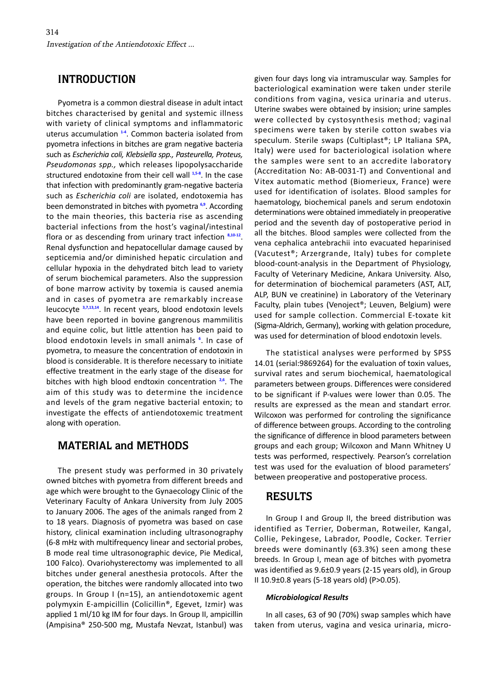### **INTRODUCTION**

Pyometra is a common diestral disease in adult intact bitches characterised by genital and systemic illness with variety of clinical symptoms and inflammatoric uterus accumulation **[1-4](#page-5-0)**. Common bacteria isolated from pyometra infections in bitches are gram negative bacteria such as *Escherichia coli, Klebsiella spp., Pasteurella, Proteus, Pseudomonas spp.,* which releases lipopolysaccharide structured endotoxine from their cell wall **[1,5-8](#page-5-0)**. In the case that infection with predominantly gram-negative bacteria such as *Escherichia coli* are isolated, endotoxemia has been demonstrated in bitches with pyometra **[6,9](#page-5-0)**. According to the main theories, this bacteria rise as ascending bacterial infections from the host's vaginal/intestinal flora or as descending from urinary tract infection **[8](#page-5-0),[10-12](#page-5-0)**. Renal dysfunction and hepatocellular damage caused by septicemia and/or diminished hepatic circulation and cellular hypoxia in the dehydrated bitch lead to variety of serum biochemical parameters. Also the suppression of bone marrow activity by toxemia is caused anemia and in cases of pyometra are remarkably increase leucocyte **[3,7,13,14](#page-5-0)**. In recent years, blood endotoxin levels have been reported in bovine gangrenous mammilitis and equine colic, but little attention has been paid to blood endotoxin levels in small animals **[6](#page-5-0)** . In case of pyometra, to measure the concentration of endotoxin in blood is considerable. It is therefore necessary to initiate effective treatment in the early stage of the disease for bitches with high blood endtoxin concentration **[2,6](#page-5-0)**. The aim of this study was to determine the incidence and levels of the gram negative bacterial entoxin; to investigate the effects of antiendotoxemic treatment along with operation.

### **MATERIAL and METHODS**

The present study was performed in 30 privately owned bitches with pyometra from different breeds and age which were brought to the Gynaecology Clinic of the Veterinary Faculty of Ankara University from July 2005 to January 2006. The ages of the animals ranged from 2 to 18 years. Diagnosis of pyometra was based on case history, clinical examination including ultrasonography (6-8 mHz with multifrequency linear and sectorial probes, B mode real time ultrasonographic device, Pie Medical, 100 Falco). Ovariohysterectomy was implemented to all bitches under general anesthesia protocols. After the operation, the bitches were randomly allocated into two groups. In Group I (n=15), an antiendotoxemic agent polymyxin E-ampicillin (Colicillin®, Egevet, Izmir) was applied 1 ml/10 kg IM for four days. In Group II, ampicillin (Ampisina® 250-500 mg, Mustafa Nevzat, Istanbul) was

given four days long via intramuscular way. Samples for bacteriological examination were taken under sterile conditions from vagina, vesica urinaria and uterus. Uterine swabes were obtained by insision; urine samples were collected by cystosynthesis method; vaginal specimens were taken by sterile cotton swabes via speculum. Sterile swaps (Cultiplast®; LP Italiana SPA, Italy) were used for bacteriological isolation where the samples were sent to an accredite laboratory (Accreditation No: AB-0031-T) and Conventional and Vitex automatic method (Biomerieux, France) were used for identification of isolates. Blood samples for haematology, biochemical panels and serum endotoxin determinations were obtained immediately in preoperative period and the seventh day of postoperative period in all the bitches. Blood samples were collected from the vena cephalica antebrachii into evacuated heparinised (Vacutest®; Arzergrande, Italy) tubes for complete blood-count-analysis in the Department of Physiology, Faculty of Veterinary Medicine, Ankara University. Also, for determination of biochemical parameters (AST, ALT, ALP, BUN ve creatinine) in Laboratory of the Veterinary Faculty, plain tubes (Venoject®; Leuven, Belgium) were used for sample collection. Commercial E-toxate kit (Sigma-Aldrich, Germany), working with gelation procedure, was used for determination of blood endotoxin levels.

The statistical analyses were performed by SPSS 14.01 (serial:9869264) for the evaluation of toxin values, survival rates and serum biochemical, haematological parameters between groups. Differences were considered to be significant if P-values were lower than 0.05. The results are expressed as the mean and standart error. Wilcoxon was performed for controling the significance of difference between groups. According to the controling the significance of difference in blood parameters between groups and each group; Wilcoxon and Mann Whitney U tests was performed, respectively. Pearson's correlation test was used for the evaluation of blood parameters' between preoperative and postoperative process.

### **RESULTS**

In Group I and Group II, the breed distribution was identified as Terrier, Doberman, Rotweiler, Kangal, Collie, Pekingese, Labrador, Poodle, Cocker. Terrier breeds were dominantly (63.3%) seen among these breeds. In Group I, mean age of bitches with pyometra was identified as 9.6±0.9 years (2-15 years old), in Group II 10.9±0.8 years (5-18 years old) (P>0.05).

#### *Microbiological Results*

In all cases, 63 of 90 (70%) swap samples which have taken from uterus, vagina and vesica urinaria, micro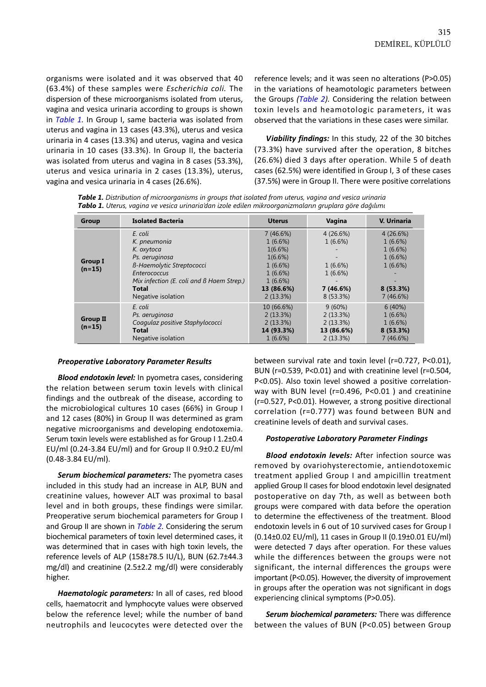organisms were isolated and it was observed that 40 (63.4%) of these samples were *Escherichia coli.* The dispersion of these microorganisms isolated from uterus, vagina and vesica urinaria according to groups is shown in *Table 1.* In Group I, same bacteria was isolated from uterus and vagina in 13 cases (43.3%), uterus and vesica urinaria in 4 cases (13.3%) and uterus, vagina and vesica urinaria in 10 cases (33.3%). In Group II, the bacteria was isolated from uterus and vagina in 8 cases (53.3%), uterus and vesica urinaria in 2 cases (13.3%), uterus, vagina and vesica urinaria in 4 cases (26.6%).

reference levels; and it was seen no alterations (P>0.05) in the variations of heamotologic parameters between the Groups *([Table 2](#page-3-0)).* Considering the relation between toxin levels and heamotologic parameters, it was observed that the variations in these cases were similar.

*Viability findings:* In this study, 22 of the 30 bitches (73.3%) have survived after the operation, 8 bitches (26.6%) died 3 days after operation. While 5 of death cases (62.5%) were identified in Group I, 3 of these cases (37.5%) were in Group II. There were positive correlations

*Table 1. Distribution of microorganisms in groups that isolated from uterus, vagina and vesica urinaria Tablo 1. Uterus, vagina ve vesica urinaria'dan izole edilen mikroorganizmaların gruplara göre dağılımı* 

| Group                       | <b>Isolated Bacteria</b>                  | <b>Uterus</b> | Vagina          | V. Urinaria |
|-----------------------------|-------------------------------------------|---------------|-----------------|-------------|
|                             | E. coli                                   | 7(46.6%)      | 4(26.6%)        | 4(26.6%)    |
|                             | K. pneumonia                              | 1(6.6%)       | 1(6.6%)         | 1(6.6%)     |
|                             | K. oxytoca                                | 1(6.6%)       |                 | $1(6.6\%)$  |
|                             | Ps. aeruginosa                            | 1(6.6%)       | $\qquad \qquad$ | $1(6.6\%)$  |
| <b>Group I</b>              | B-Haemolytic Streptococci                 | 1(6.6%)       | $1(6.6\%)$      | 1(6.6%)     |
| $(n=15)$                    | Enterococcus                              | 1(6.6%)       | 1(6.6%)         |             |
|                             | Mix infection (E. coli and B Haem Strep.) | 1(6.6%)       |                 |             |
|                             | Total                                     | 13 (86.6%)    | 7 (46.6%)       | 8(53.3%)    |
|                             | Negative isolation                        | 2(13.3%)      | $8(53.3\%)$     | 7(46.6%)    |
|                             | E. coli                                   | 10 (66.6%)    | 9(60%)          | 6(40%)      |
|                             | Ps. aeruginosa                            | 2(13.3%)      | 2(13.3%)        | 1(6.6%)     |
| <b>Group II</b><br>$(n=15)$ | Coagulaz positive Staphylococci           | 2(13.3%)      | 2(13.3%)        | 1(6.6%)     |
|                             | Total                                     | 14 (93.3%)    | 13 (86.6%)      | 8(53.3%)    |
|                             | Negative isolation                        | 1(6.6%)       | 2(13.3%)        | 7(46.6%)    |

#### *Preoperative Laboratory Parameter Results*

*Blood endotoxin level:* In pyometra cases, considering the relation between serum toxin levels with clinical findings and the outbreak of the disease, according to the microbiological cultures 10 cases (66%) in Group I and 12 cases (80%) in Group II was determined as gram negative microorganisms and developing endotoxemia. Serum toxin levels were established as for Group I 1.2±0.4 EU/ml (0.24-3.84 EU/ml) and for Group II 0.9±0.2 EU/ml (0.48-3.84 EU/ml).

*Serum biochemical parameters:* The pyometra cases included in this study had an increase in ALP, BUN and creatinine values, however ALT was proximal to basal level and in both groups, these findings were similar. Preoperative serum biochemical parameters for Group I and Group II are shown in *[Table 2.](#page-3-0)* Considering the serum biochemical parameters of toxin level determined cases, it was determined that in cases with high toxin levels, the reference levels of ALP (158±78.5 IU/L), BUN (62.7±44.3 mg/dl) and creatinine (2.5±2.2 mg/dl) were considerably higher.

*Haematologic parameters:* In all of cases, red blood cells, haematocrit and lymphocyte values were observed below the reference level; while the number of band neutrophils and leucocytes were detected over the

between survival rate and toxin level (r=0.727, P<0.01), BUN (r=0.539, P<0.01) and with creatinine level (r=0.504, P<0.05). Also toxin level showed a positive correlationway with BUN level (r=0.496, P<0.01 ) and creatinine (r=0.527, P<0.01). However, a strong positive directional correlation (r=0.777) was found between BUN and creatinine levels of death and survival cases.

#### *Postoperative Laboratory Parameter Findings*

*Blood endotoxin levels:* After infection source was removed by ovariohysterectomie, antiendotoxemic treatment applied Group I and ampicillin treatment applied Group II cases for blood endotoxin level designated postoperative on day 7th, as well as between both groups were compared with data before the operation to determine the effectiveness of the treatment. Blood endotoxin levels in 6 out of 10 survived cases for Group I (0.14±0.02 EU/ml), 11 cases in Group II (0.19±0.01 EU/ml) were detected 7 days after operation. For these values while the differences between the groups were not significant, the internal differences the groups were important (P<0.05). However, the diversity of improvement in groups after the operation was not significant in dogs experiencing clinical symptoms (P>0.05).

*Serum biochemical parameters:* There was difference between the values of BUN (P<0.05) between Group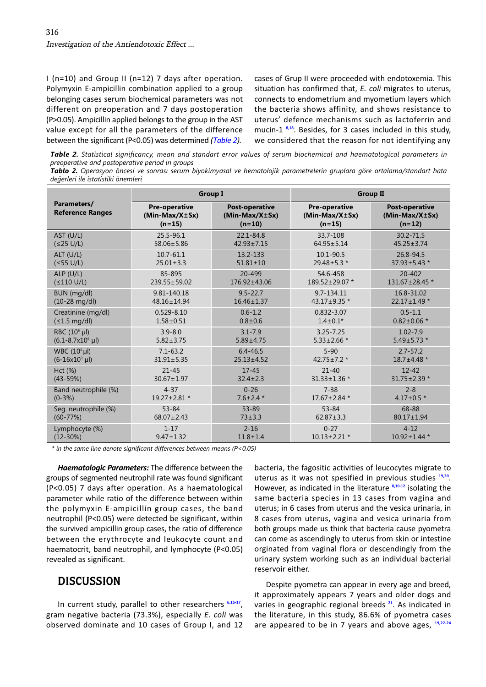Polymyxin E-ampicillin combination applied to a group situation has confirmed that, *E. coli* migrates to uterus, (P>0.05). Ampicillin applied belongs to the group in the AST uterus' defence mechanisms such as lactoferrin and value except for all the parameters of the difference mucin-1 **[8,18](#page-5-0)**. Besides, for 3 cases included in this study,

<span id="page-3-0"></span>I (n=10) and Group II (n=12) 7 days after operation. cases of Grup II were proceeded with endotoxemia. This belonging cases serum biochemical parameters was not connects to endometrium and myometium layers which different on preoperation and 7 days postoperation the bacteria shows affinity, and shows resistance to between the significant (P<0.05) was determined *(Table 2).* we considered that the reason for not identifying any

*Table 2. Statistical significancy, mean and standart error values of serum biochemical and haematological parameters in preoperative and postoperative period in groups* 

*Tablo 2. Operasyon öncesi ve sonrası serum biyokimyasal ve hematolojik parametrelerin gruplara göre ortalama/standart hata değerleri ile istatistiki önemleri* 

|                                        | <b>Group I</b>                                       |                                                       | <b>Group II</b>                                      |                                                       |
|----------------------------------------|------------------------------------------------------|-------------------------------------------------------|------------------------------------------------------|-------------------------------------------------------|
| Parameters/<br><b>Reference Ranges</b> | <b>Pre-operative</b><br>$(Min-Max/X±Sx)$<br>$(n=15)$ | <b>Post-operative</b><br>$(Min-Max/X±Sx)$<br>$(n=10)$ | <b>Pre-operative</b><br>$(Min-Max/X±Sx)$<br>$(n=15)$ | <b>Post-operative</b><br>$(Min-Max/X±Sx)$<br>$(n=12)$ |
| AST (U/L)                              | 25.5-96.1                                            | 22.1-84.8                                             | 33.7-108                                             | $30.2 - 71.5$                                         |
| $(25 \text{ U/L})$                     | 58.06±5.86                                           | $42.93 \pm 7.15$                                      | $64.95 \pm 5.14$                                     | $45.25 \pm 3.74$                                      |
| $ALT$ (U/L)                            | $10.7 - 61.1$                                        | 13.2-133                                              | 10.1-90.5                                            | 26.8-94.5                                             |
| (555 U/L)                              | $25.01 \pm 3.3$                                      | $51.81 \pm 10$                                        | $29.48 \pm 5.3$ *                                    | $37.93 \pm 5.43$ *                                    |
| $ALP$ (U/L)                            | 85-895                                               | 20-499                                                | 54.6-458                                             | 20-402                                                |
| (≤110 U/L)                             | 239.55±59.02                                         | 176.92±43.06                                          | 189.52±29.07 *                                       | 131.67±28.45 *                                        |
| BUN (mg/dl)                            | 9.81-140.18                                          | $9.5 - 22.7$                                          | 9.7-134.11                                           | 16.8-31.02                                            |
| $(10-28 \text{ mg/dl})$                | 48.16±14.94                                          | $16.46 \pm 1.37$                                      | 43.17±9.35 *                                         | $22.17 \pm 1.49$ *                                    |
| Creatinine (mg/dl)                     | $0.529 - 8.10$                                       | $0.6 - 1.2$                                           | $0.832 - 3.07$                                       | $0.5 - 1.1$                                           |
| (≤1.5 mg/dl)                           | $1.58 \pm 0.51$                                      | $0.8 + 0.6$                                           | $1.4 \pm 0.1*$                                       | $0.82 \pm 0.06$ *                                     |
| RBC (10 <sup>6</sup> µl)               | $3.9 - 8.0$                                          | $3.1 - 7.9$                                           | $3.25 - 7.25$                                        | $1.02 - 7.9$                                          |
| $(6.1 - 8.7 \times 10^6 \text{ µl})$   | $5.82 \pm 3.75$                                      | $5.89 \pm 4.75$                                       | $5.33 \pm 2.66$ *                                    | $5.49 \pm 5.73$ *                                     |
| WBC $(10^3 \mu l)$                     | $7.1 - 63.2$                                         | $6.4 - 46.5$                                          | $5 - 90$                                             | $2.7 - 57.2$                                          |
| $(6-16x10^3 \mu)$                      | $31.91 \pm 5.35$                                     | $25.13 \pm 4.52$                                      | $42.75 \pm 7.2$ *                                    | 18.7±4.48 *                                           |
| Hct(%)                                 | $21 - 45$                                            | $17 - 45$                                             | $21 - 40$                                            | $12 - 42$                                             |
| $(43 - 59%)$                           | $30.67 \pm 1.97$                                     | $32.4 \pm 2.3$                                        | $31.33 \pm 1.36$ *                                   | $31.75 \pm 2.39$ *                                    |
| Band neutrophile (%)                   | $4 - 37$                                             | $0 - 26$                                              | $7 - 38$                                             | $2 - 8$                                               |
| $(0-3%)$                               | 19.27±2.81 *                                         | $7.6 \pm 2.4$ *                                       | 17.67±2.84 *                                         | $4.17 \pm 0.5$ *                                      |
| Seg. neutrophile (%)                   | $53 - 84$                                            | $53 - 89$                                             | $53 - 84$                                            | 68-88                                                 |
| $(60-77%)$                             | $68.07 \pm 2.43$                                     | $73 + 3.3$                                            | $62.87 \pm 3.3$                                      | $80.17 \pm 1.94$                                      |
| Lymphocyte (%)                         | $1 - 17$                                             | $2 - 16$                                              | $0 - 27$                                             | $4 - 12$                                              |
| $(12-30%)$                             | $9.47 \pm 1.32$                                      | $11.8 + 1.4$                                          | $10.13 \pm 2.21$ *                                   | $10.92 \pm 1.44$ *                                    |

*\* in the same line denote significant differences between means (P<0.05)* 

*Haematologic Parameters:* The difference between the groups of segmented neutrophil rate was found significant (P<0.05) 7 days after operation. As a haematological parameter while ratio of the difference between within the polymyxin E-ampicillin group cases, the band neutrophil (P<0.05) were detected be significant, within the survived ampicillin group cases, the ratio of difference between the erythrocyte and leukocyte count and haematocrit, band neutrophil, and lymphocyte (P<0.05) revealed as significant.

### **DISCUSSION**

In current study, parallel to other researchers **[6,15-17](#page-5-0)**, gram negative bacteria (73.3%), especially *E. coli* was observed dominate and 10 cases of Group I, and 12 bacteria, the fagositic activities of leucocytes migrate to uterus as it was not spesified in previous studies **[19,20](#page-5-0)**. However, as indicated in the literature **[8,10-12](#page-5-0)** isolating the same bacteria species in 13 cases from vagina and uterus; in 6 cases from uterus and the vesica urinaria, in 8 cases from uterus, vagina and vesica urinaria from both groups made us think that bacteria cause pyometra can come as ascendingly to uterus from skin or intestine orginated from vaginal flora or descendingly from the urinary system working such as an individual bacterial reservoir either.

Despite pyometra can appear in every age and breed, it approximately appears 7 years and older dogs and varies in geographic regional breeds **[21](#page-5-0)**. As indicated in the literature, in this study, 86.6% of pyometra cases are appeared to be in 7 years and above ages, **[19,22-24](#page-5-0)**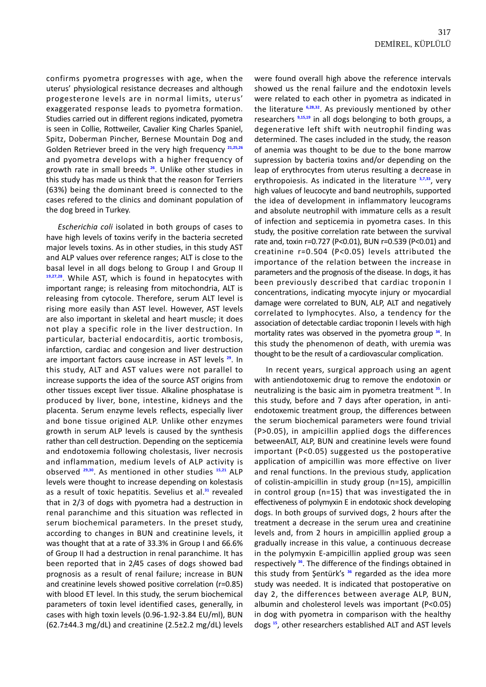confirms pyometra progresses with age, when the uterus' physiological resistance decreases and although progesterone levels are in normal limits, uterus' exaggerated response leads to pyometra formation. Studies carried out in different regions indicated, pyometra is seen in Collie, Rottweiler, Cavalier King Charles Spaniel, Spitz, Doberman Pincher, Bernese Mountain Dog and Golden Retriever breed in the very high frequency **[21](#page-5-0),[25,26](#page-5-0)** and pyometra develops with a higher frequency of growth rate in small breeds **[26](#page-5-0)**. Unlike other studies in this study has made us think that the reason for Terriers (63%) being the dominant breed is connected to the cases refered to the clinics and dominant population of the dog breed in Turkey.

*Escherichia coli* isolated in both groups of cases to have high levels of toxins verify in the bacteria secreted major levels toxins. As in other studies, in this study AST and ALP values over reference ranges; ALT is close to the basal level in all dogs belong to Group I and Group II **[19](#page-5-0),[27,28](#page-5-0)**. While AST, which is found in hepatocytes with important range; is releasing from mitochondria, ALT is releasing from cytocole. Therefore, serum ALT level is rising more easily than AST level. However, AST levels are also important in skeletal and heart muscle; it does not play a specific role in the liver destruction. In particular, bacterial endocarditis, aortic trombosis, infarction, cardiac and congesion and liver destruction are important factors cause increase in AST levels **[29](#page-5-0)**. In this study, ALT and AST values were not parallel to increase supports the idea of the source AST origins from other tissues except liver tissue. Alkaline phosphatase is produced by liver, bone, intestine, kidneys and the placenta. Serum enzyme levels reflects, especially liver and bone tissue origined ALP. Unlike other enzymes growth in serum ALP levels is caused by the synthesis rather than cell destruction. Depending on the septicemia and endotoxemia following cholestasis, liver necrosis and inflammation, medium levels of ALP activity is observed **[29,30](#page-5-0)**. As mentioned in other studies **[15,21](#page-5-0)** ALP levels were thought to increase depending on kolestasis as a result of toxic hepatitis. Sevelius et al.**[31](#page-5-0)** revealed that in 2/3 of dogs with pyometra had a destruction in renal paranchime and this situation was reflected in serum biochemical parameters. In the preset study, according to changes in BUN and creatinine levels, it was thought that at a rate of 33.3% in Group I and 66.6% of Group II had a destruction in renal paranchime. It has been reported that in 2/45 cases of dogs showed bad prognosis as a result of renal failure; increase in BUN and creatinine levels showed positive correlation (r=0.85) with blood ET level. In this study, the serum biochemical parameters of toxin level identified cases, generally, in cases with high toxin levels (0.96-1.92-3.84 EU/ml), BUN  $(62.7±44.3 \text{ mg/dL})$  and creatinine  $(2.5±2.2 \text{ mg/dL})$  levels were found overall high above the reference intervals showed us the renal failure and the endotoxin levels were related to each other in pyometra as indicated in the literature **[6,28,32](#page-5-0)**. As previously mentioned by other researchers **[9](#page-5-0),[15,19](#page-5-0)** in all dogs belonging to both groups, a degenerative left shift with neutrophil finding was determined. The cases included in the study, the reason of anemia was thought to be due to the bone marrow supression by bacteria toxins and/or depending on the leap of erythrocytes from uterus resulting a decrease in erythropoiesis. As indicated in the literature **[3,7,33](#page-5-0)**, very high values of leucocyte and band neutrophils, supported the idea of development in inflammatory leucograms and absolute neutrophil with immature cells as a result of infection and septicemia in pyometra cases. In this study, the positive correlation rate between the survival rate and, toxin r=0.727 (P<0.01), BUN r=0.539 (P<0.01) and creatinine r=0.504 (P<0.05) levels attributed the importance of the relation between the increase in parameters and the prognosis of the disease. In dogs, it has been previously described that cardiac troponin I concentrations, indicating myocyte injury or myocardial damage were correlated to BUN, ALP, ALT and negatively correlated to lymphocytes. Also, a tendency for the association of detectable cardiac troponin I levels with high mortality rates was observed in the pyometra group **[34](#page-5-0)**. In this study the phenomenon of death, with uremia was thought to be the result of a cardiovascular complication.

In recent years, surgical approach using an agent with antiendotoxemic drug to remove the endotoxin or neutralizing is the basic aim in pyometra treatment **[35](#page-5-0)**. In this study, before and 7 days after operation, in antiendotoxemic treatment group, the differences between the serum biochemical parameters were found trivial (P>0.05), in ampicillin applied dogs the differences betweenALT, ALP, BUN and creatinine levels were found important (P<0.05) suggested us the postoperative application of ampicillin was more effective on liver and renal functions. In the previous study, application of colistin-ampicillin in study group (n=15), ampicillin in control group (n=15) that was investigated the in effectiveness of polymyxin E in endotoxic shock developing dogs. In both groups of survived dogs, 2 hours after the treatment a decrease in the serum urea and creatinine levels and, from 2 hours in ampicillin applied group a gradually increase in this value, a continuous decrease in the polymyxin E-ampicillin applied group was seen respectively **[36](#page-5-0)**. The difference of the findings obtained in this study from Şentürk's **[36](#page-5-0)** regarded as the idea more study was needed. It is indicated that postoperative on day 2, the differences between average ALP, BUN, albumin and cholesterol levels was important (P<0.05) in dog with pyometra in comparison with the healthy dogs **[15](#page-5-0)**, other researchers established ALT and AST levels